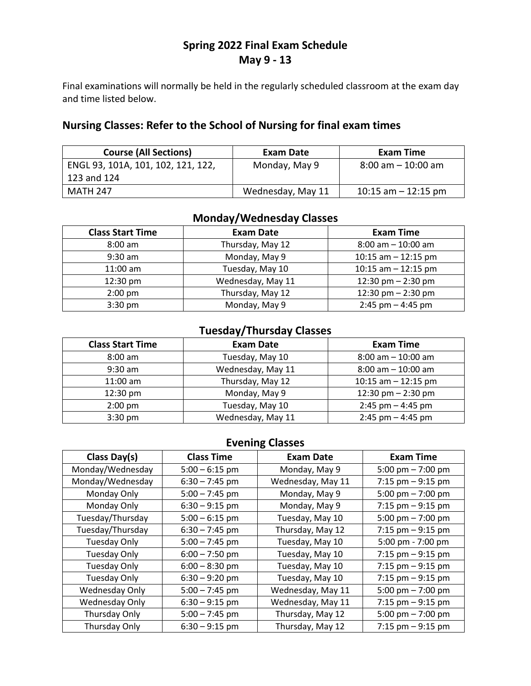# **Spring 2022 Final Exam Schedule May 9 - 13**

Final examinations will normally be held in the regularly scheduled classroom at the exam day and time listed below.

## **Nursing Classes: Refer to the School of Nursing for final exam times**

| <b>Course (All Sections)</b>       | Exam Date         | Exam Time             |
|------------------------------------|-------------------|-----------------------|
| ENGL 93, 101A, 101, 102, 121, 122, | Monday, May 9     | $8:00$ am $-10:00$ am |
| 123 and 124                        |                   |                       |
| MATH 247                           | Wednesday, May 11 | 10:15 am $-$ 12:15 pm |

## **Monday/Wednesday Classes**

| <b>Class Start Time</b> | <b>Exam Date</b>  | <b>Exam Time</b>      |
|-------------------------|-------------------|-----------------------|
| $8:00$ am               | Thursday, May 12  | $8:00$ am $-10:00$ am |
| $9:30$ am               | Monday, May 9     | 10:15 am $-$ 12:15 pm |
| $11:00$ am              | Tuesday, May 10   | 10:15 am $-$ 12:15 pm |
| 12:30 pm                | Wednesday, May 11 | 12:30 pm $-$ 2:30 pm  |
| $2:00$ pm               | Thursday, May 12  | 12:30 pm $-$ 2:30 pm  |
| $3:30$ pm               | Monday, May 9     | $2:45$ pm $-4:45$ pm  |

## **Tuesday/Thursday Classes**

| <b>Class Start Time</b> | <b>Exam Date</b>  | <b>Exam Time</b>      |
|-------------------------|-------------------|-----------------------|
| $8:00$ am               | Tuesday, May 10   | $8:00$ am $-10:00$ am |
| $9:30$ am               | Wednesday, May 11 | $8:00$ am $-10:00$ am |
| $11:00$ am              | Thursday, May 12  | 10:15 am $-$ 12:15 pm |
| $12:30$ pm              | Monday, May 9     | 12:30 pm $-$ 2:30 pm  |
| $2:00$ pm               | Tuesday, May 10   | $2:45$ pm $-4:45$ pm  |
| $3:30$ pm               | Wednesday, May 11 | $2:45$ pm $-4:45$ pm  |

### **Evening Classes**

| Class Day(s)        | <b>Class Time</b> | <b>Exam Date</b>  | <b>Exam Time</b>     |
|---------------------|-------------------|-------------------|----------------------|
| Monday/Wednesday    | $5:00 - 6:15$ pm  | Monday, May 9     | 5:00 pm $- 7:00$ pm  |
| Monday/Wednesday    | $6:30 - 7:45$ pm  | Wednesday, May 11 | 7:15 pm $-9:15$ pm   |
| Monday Only         | $5:00 - 7:45$ pm  | Monday, May 9     | 5:00 pm $- 7:00$ pm  |
| Monday Only         | $6:30 - 9:15$ pm  | Monday, May 9     | 7:15 $pm - 9:15$ pm  |
| Tuesday/Thursday    | $5:00 - 6:15$ pm  | Tuesday, May 10   | 5:00 pm $- 7:00$ pm  |
| Tuesday/Thursday    | $6:30 - 7:45$ pm  | Thursday, May 12  | 7:15 $pm - 9:15$ pm  |
| <b>Tuesday Only</b> | $5:00 - 7:45$ pm  | Tuesday, May 10   | 5:00 pm - 7:00 pm    |
| <b>Tuesday Only</b> | $6:00 - 7:50$ pm  | Tuesday, May 10   | 7:15 $pm - 9:15$ pm  |
| <b>Tuesday Only</b> | $6:00 - 8:30$ pm  | Tuesday, May 10   | 7:15 pm $-9:15$ pm   |
| <b>Tuesday Only</b> | $6:30 - 9:20$ pm  | Tuesday, May 10   | 7:15 pm $-9:15$ pm   |
| Wednesday Only      | $5:00 - 7:45$ pm  | Wednesday, May 11 | 5:00 pm $- 7:00$ pm  |
| Wednesday Only      | $6:30 - 9:15$ pm  | Wednesday, May 11 | 7:15 pm $-9:15$ pm   |
| Thursday Only       | $5:00 - 7:45$ pm  | Thursday, May 12  | 5:00 pm $- 7:00$ pm  |
| Thursday Only       | $6:30 - 9:15$ pm  | Thursday, May 12  | $7:15$ pm $-9:15$ pm |